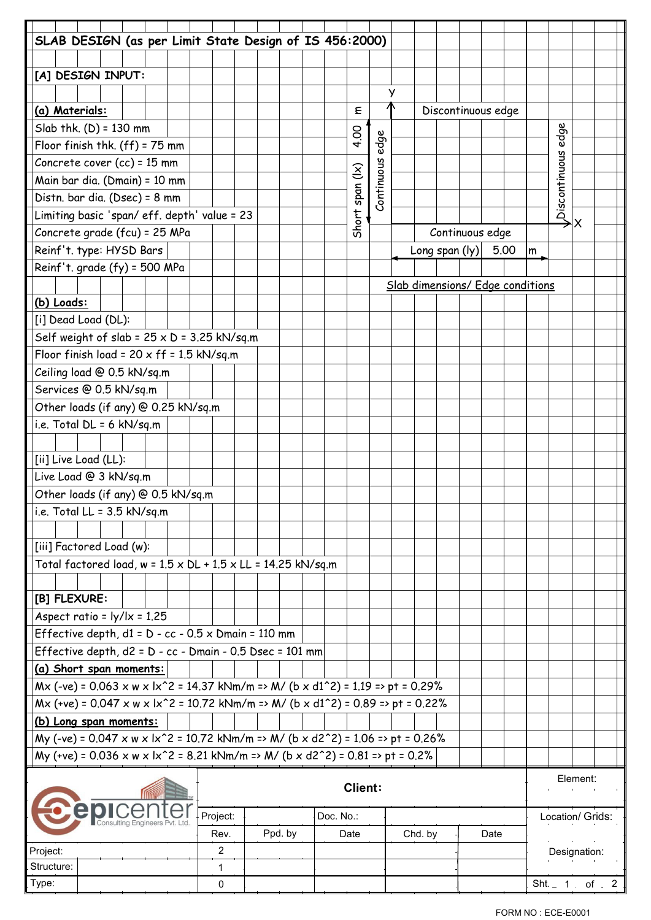| SLAB DESIGN (as per Limit State Design of IS 456:2000)                                                     |                                             |  |  |  |                   |  |  |                 |            |           |                |      |   |         |                                  |      |      |               |              |   |             |
|------------------------------------------------------------------------------------------------------------|---------------------------------------------|--|--|--|-------------------|--|--|-----------------|------------|-----------|----------------|------|---|---------|----------------------------------|------|------|---------------|--------------|---|-------------|
|                                                                                                            |                                             |  |  |  |                   |  |  |                 |            |           |                |      |   |         |                                  |      |      |               |              |   |             |
| [A] DESIGN INPUT:                                                                                          |                                             |  |  |  |                   |  |  |                 |            |           |                |      |   |         |                                  |      |      |               |              |   |             |
|                                                                                                            |                                             |  |  |  |                   |  |  |                 |            |           |                |      | У |         |                                  |      |      |               |              |   |             |
| (a) Materials:                                                                                             |                                             |  |  |  |                   |  |  |                 |            |           | ξ              |      |   |         | Discontinuous edge               |      |      |               |              |   |             |
| Slab thk. $(D) = 130$ mm                                                                                   |                                             |  |  |  |                   |  |  |                 |            |           |                |      |   |         |                                  |      |      |               |              |   |             |
| Floor finish thk. (ff) = 75 mm                                                                             |                                             |  |  |  |                   |  |  |                 |            |           | 4.00           | edge |   |         |                                  |      |      |               | edge         |   |             |
| Concrete cover (cc) = 15 mm                                                                                |                                             |  |  |  |                   |  |  |                 |            |           |                |      |   |         |                                  |      |      |               |              |   |             |
| Main bar dia. (Dmain) = 10 mm                                                                              |                                             |  |  |  |                   |  |  | Short span (Ix) | Continuous |           |                |      |   |         |                                  |      |      |               |              |   |             |
| Distn. bar dia. (Dsec) = 8 mm                                                                              |                                             |  |  |  |                   |  |  |                 |            |           |                |      |   |         |                                  |      |      |               |              |   |             |
|                                                                                                            | Limiting basic 'span/eff. depth' value = 23 |  |  |  |                   |  |  |                 |            |           |                |      |   |         |                                  |      |      | Discontinuous |              |   |             |
| Concrete grade (fcu) = 25 MPa                                                                              |                                             |  |  |  |                   |  |  |                 |            |           |                |      |   |         | Continuous edge                  |      |      |               |              | x |             |
| Reinf't. type: HYSD Bars                                                                                   |                                             |  |  |  |                   |  |  |                 |            |           |                |      |   |         | Long span $( y) $                |      | 5.00 | m             |              |   |             |
| Reinf't. grade (fy) = 500 MPa                                                                              |                                             |  |  |  |                   |  |  |                 |            |           |                |      |   |         |                                  |      |      |               |              |   |             |
|                                                                                                            |                                             |  |  |  |                   |  |  |                 |            |           |                |      |   |         | Slab dimensions/ Edge conditions |      |      |               |              |   |             |
| (b) Loads:                                                                                                 |                                             |  |  |  |                   |  |  |                 |            |           |                |      |   |         |                                  |      |      |               |              |   |             |
| [i] Dead Load (DL):                                                                                        |                                             |  |  |  |                   |  |  |                 |            |           |                |      |   |         |                                  |      |      |               |              |   |             |
| Self weight of slab = $25 \times D = 3.25$ kN/sq.m                                                         |                                             |  |  |  |                   |  |  |                 |            |           |                |      |   |         |                                  |      |      |               |              |   |             |
| Floor finish load = $20 \times ff = 1.5$ kN/sq.m                                                           |                                             |  |  |  |                   |  |  |                 |            |           |                |      |   |         |                                  |      |      |               |              |   |             |
| Ceiling load @ 0.5 kN/sq.m                                                                                 |                                             |  |  |  |                   |  |  |                 |            |           |                |      |   |         |                                  |      |      |               |              |   |             |
| Services @ 0.5 kN/sq.m                                                                                     |                                             |  |  |  |                   |  |  |                 |            |           |                |      |   |         |                                  |      |      |               |              |   |             |
| Other loads (if any) @ 0.25 kN/sq.m                                                                        |                                             |  |  |  |                   |  |  |                 |            |           |                |      |   |         |                                  |      |      |               |              |   |             |
| i.e. Total DL = 6 kN/sq.m                                                                                  |                                             |  |  |  |                   |  |  |                 |            |           |                |      |   |         |                                  |      |      |               |              |   |             |
|                                                                                                            |                                             |  |  |  |                   |  |  |                 |            |           |                |      |   |         |                                  |      |      |               |              |   |             |
| [ii] Live Load (LL):                                                                                       |                                             |  |  |  |                   |  |  |                 |            |           |                |      |   |         |                                  |      |      |               |              |   |             |
| Live Load @ 3 kN/sq.m                                                                                      |                                             |  |  |  |                   |  |  |                 |            |           |                |      |   |         |                                  |      |      |               |              |   |             |
| Other loads (if any) @ 0.5 kN/sq.m                                                                         |                                             |  |  |  |                   |  |  |                 |            |           |                |      |   |         |                                  |      |      |               |              |   |             |
| i.e. Total LL = $3.5$ kN/sg.m                                                                              |                                             |  |  |  |                   |  |  |                 |            |           |                |      |   |         |                                  |      |      |               |              |   |             |
|                                                                                                            |                                             |  |  |  |                   |  |  |                 |            |           |                |      |   |         |                                  |      |      |               |              |   |             |
| [iii] Factored Load (w):                                                                                   |                                             |  |  |  |                   |  |  |                 |            |           |                |      |   |         |                                  |      |      |               |              |   |             |
| Total factored load, $w = 1.5 \times DL + 1.5 \times LL = 14.25$ kN/sq.m                                   |                                             |  |  |  |                   |  |  |                 |            |           |                |      |   |         |                                  |      |      |               |              |   |             |
|                                                                                                            |                                             |  |  |  |                   |  |  |                 |            |           |                |      |   |         |                                  |      |      |               |              |   |             |
| [B] FLEXURE:                                                                                               |                                             |  |  |  |                   |  |  |                 |            |           |                |      |   |         |                                  |      |      |               |              |   |             |
| Aspect ratio = $\frac{1}{2}$ / $\frac{1}{x}$ = 1.25                                                        |                                             |  |  |  |                   |  |  |                 |            |           |                |      |   |         |                                  |      |      |               |              |   |             |
| Effective depth, $d1 = D - cc - 0.5 \times D$ main = 110 mm                                                |                                             |  |  |  |                   |  |  |                 |            |           |                |      |   |         |                                  |      |      |               |              |   |             |
| Effective depth, d2 = D - cc - Dmain - 0.5 Dsec = 101 mm                                                   |                                             |  |  |  |                   |  |  |                 |            |           |                |      |   |         |                                  |      |      |               |              |   |             |
| (a) Short span moments:                                                                                    |                                             |  |  |  |                   |  |  |                 |            |           |                |      |   |         |                                  |      |      |               |              |   |             |
| $Mx$ (-ve) = 0.063 x w x lx <sup>2</sup> 2 = 14.37 kNm/m => M/ (b x d1 <sup>2</sup> ) = 1.19 => pt = 0.29% |                                             |  |  |  |                   |  |  |                 |            |           |                |      |   |         |                                  |      |      |               |              |   |             |
| Mx (+ve) = 0.047 x w x lx^2 = 10.72 kNm/m => M/ (b x d1^2) = 0.89 => pt = 0.22%                            |                                             |  |  |  |                   |  |  |                 |            |           |                |      |   |         |                                  |      |      |               |              |   |             |
| (b) Long span moments:                                                                                     |                                             |  |  |  |                   |  |  |                 |            |           |                |      |   |         |                                  |      |      |               |              |   |             |
| My (-ve) = 0.047 x w x lx^2 = 10.72 kNm/m => M/ (b x d2^2) = 1.06 => pt = 0.26%                            |                                             |  |  |  |                   |  |  |                 |            |           |                |      |   |         |                                  |      |      |               |              |   |             |
| My (+ve) = 0.036 x w x lx <sup>2</sup> 2 = 8.21 kNm/m => M/ (b x d2 <sup>2</sup> 2) = 0.81 => pt = 0.2%    |                                             |  |  |  |                   |  |  |                 |            |           |                |      |   |         |                                  |      |      |               |              |   |             |
|                                                                                                            |                                             |  |  |  |                   |  |  |                 |            |           |                |      |   |         |                                  |      |      |               |              |   |             |
|                                                                                                            |                                             |  |  |  |                   |  |  |                 |            |           | <b>Client:</b> |      |   |         |                                  |      |      | Element:      |              |   |             |
|                                                                                                            |                                             |  |  |  |                   |  |  |                 |            |           |                |      |   |         | Location/ Grids:                 |      |      |               |              |   |             |
|                                                                                                            |                                             |  |  |  | Project:          |  |  |                 |            | Doc. No.: |                |      |   |         |                                  |      |      |               |              |   |             |
|                                                                                                            |                                             |  |  |  | Rev.              |  |  | Ppd. by         |            |           | Date           |      |   | Chd. by |                                  | Date |      |               |              |   |             |
| Project:<br>Structure:                                                                                     |                                             |  |  |  | 2<br>$\mathbf{1}$ |  |  |                 |            |           |                |      |   |         |                                  |      |      |               | Designation: |   |             |
|                                                                                                            |                                             |  |  |  | $\mathbf 0$       |  |  |                 |            |           |                |      |   |         |                                  |      |      |               |              |   | Sht. 1 of 2 |